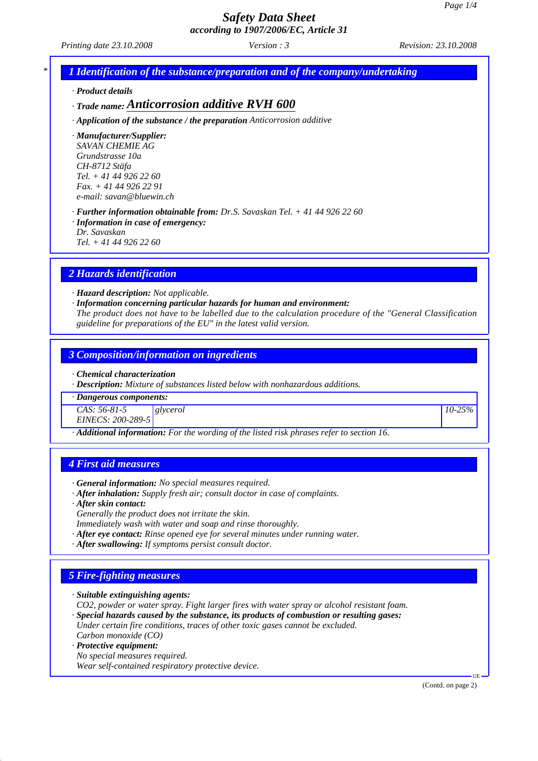*Printing date 23.10.2008 Revision: 23.10.2008 Version : 3*

*\* 1 Identification of the substance/preparation and of the company/undertaking*

*· Product details*

### *· Trade name: Anticorrosion additive RVH 600*

*· Application of the substance / the preparation Anticorrosion additive*

*· Manufacturer/Supplier: SAVAN CHEMIE AG Grundstrasse 10a CH-8712 Stäfa Tel. + 41 44 926 22 60 Fax. + 41 44 926 22 91 e-mail: savan@bluewin.ch*

*· Further information obtainable from: Dr.S. Savaskan Tel. + 41 44 926 22 60 · Information in case of emergency:*

*Dr. Savaskan*

*Tel. + 41 44 926 22 60*

### *2 Hazards identification*

*· Hazard description: Not applicable.*

*· Information concerning particular hazards for human and environment:*

*The product does not have to be labelled due to the calculation procedure of the "General Classification guideline for preparations of the EU" in the latest valid version.*

### *3 Composition/information on ingredients*

*· Chemical characterization*

*· Description: Mixture of substances listed below with nonhazardous additions.*

*· Dangerous components:*

*CAS: 56-81-5 glycerol 10-25%*

*EINECS: 200-289-5*

*· Additional information: For the wording of the listed risk phrases refer to section 16.*

### *4 First aid measures*

- *· General information: No special measures required.*
- *· After inhalation: Supply fresh air; consult doctor in case of complaints.*
- *· After skin contact:*
- *Generally the product does not irritate the skin.*

*Immediately wash with water and soap and rinse thoroughly.*

- *· After eye contact: Rinse opened eye for several minutes under running water.*
- *· After swallowing: If symptoms persist consult doctor.*

### *5 Fire-fighting measures*

*· Suitable extinguishing agents:*

*CO2, powder or water spray. Fight larger fires with water spray or alcohol resistant foam.*

*· Special hazards caused by the substance, its products of combustion or resulting gases: Under certain fire conditions, traces of other toxic gases cannot be excluded.*

*Carbon monoxide (CO) · Protective equipment:*

*No special measures required. Wear self-contained respiratory protective device.*

(Contd. on page 2)

UE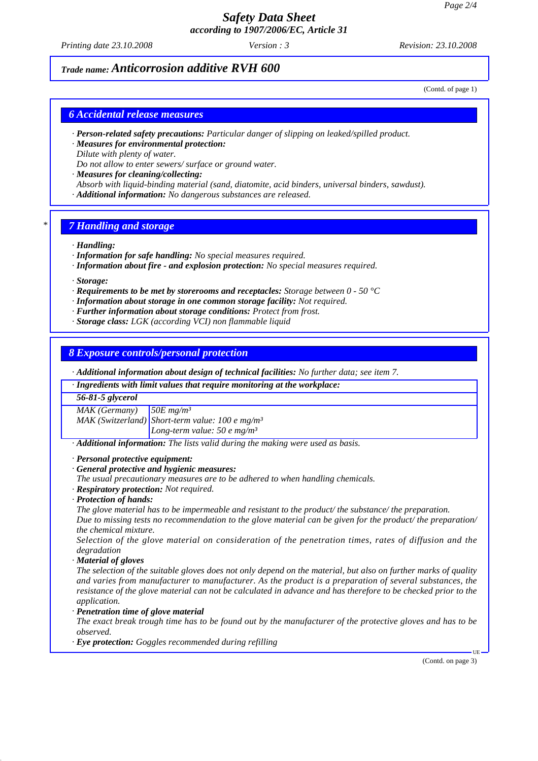*Printing date 23.10.2008 Revision: 23.10.2008 Version : 3*

# *Trade name: Anticorrosion additive RVH 600*

(Contd. of page 1)

### *6 Accidental release measures*

- *· Person-related safety precautions: Particular danger of slipping on leaked/spilled product.*
- *· Measures for environmental protection: Dilute with plenty of water.*

*Do not allow to enter sewers/ surface or ground water.*

*· Measures for cleaning/collecting:*

- *Absorb with liquid-binding material (sand, diatomite, acid binders, universal binders, sawdust).*
- *· Additional information: No dangerous substances are released.*

### *\* 7 Handling and storage*

- *· Handling:*
- *· Information for safe handling: No special measures required.*
- *· Information about fire and explosion protection: No special measures required.*

*· Storage:*

*· Requirements to be met by storerooms and receptacles: Storage between 0 - 50 °C*

*· Information about storage in one common storage facility: Not required.*

*· Further information about storage conditions: Protect from frost.*

*· Storage class: LGK (according VCI) non flammable liquid*

### *8 Exposure controls/personal protection*

*· Additional information about design of technical facilities: No further data; see item 7.*

*· Ingredients with limit values that require monitoring at the workplace:*

#### *56-81-5 glycerol*

*MAK (Germany) 50E mg/m³*

*MAK (Switzerland) Short-term value: 100 e mg/m³ Long-term value: 50 e mg/m³*

*· Additional information: The lists valid during the making were used as basis.*

*· Personal protective equipment:*

- *· General protective and hygienic measures:*
- *The usual precautionary measures are to be adhered to when handling chemicals.*
- *· Respiratory protection: Not required.*
- *· Protection of hands:*

*The glove material has to be impermeable and resistant to the product/ the substance/ the preparation.*

*Due to missing tests no recommendation to the glove material can be given for the product/ the preparation/ the chemical mixture.*

*Selection of the glove material on consideration of the penetration times, rates of diffusion and the degradation*

*· Material of gloves*

*The selection of the suitable gloves does not only depend on the material, but also on further marks of quality and varies from manufacturer to manufacturer. As the product is a preparation of several substances, the resistance of the glove material can not be calculated in advance and has therefore to be checked prior to the application.*

*· Penetration time of glove material*

*The exact break trough time has to be found out by the manufacturer of the protective gloves and has to be observed.*

*· Eye protection: Goggles recommended during refilling*

(Contd. on page 3)

UE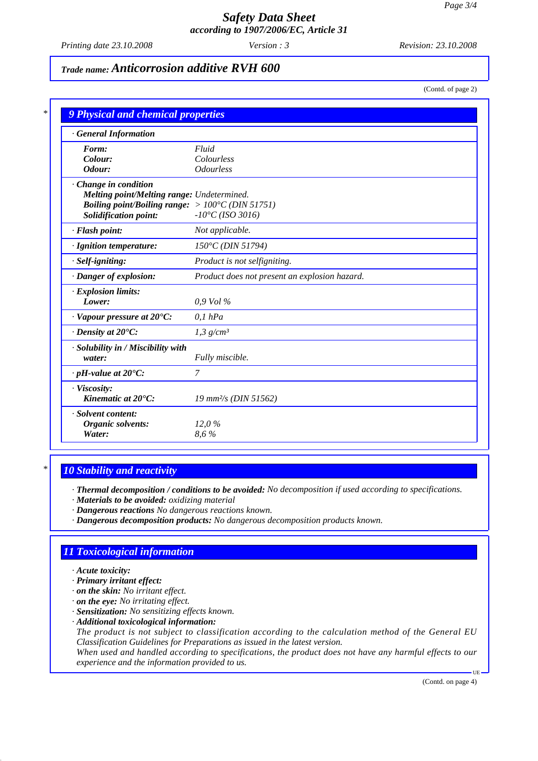*Printing date 23.10.2008 Revision: 23.10.2008 Version : 3*

# *Trade name: Anticorrosion additive RVH 600*

(Contd. of page 2)

| <b>General Information</b>                                |                                               |
|-----------------------------------------------------------|-----------------------------------------------|
| Form:                                                     | Fluid                                         |
| Colour:                                                   | Colourless                                    |
| Odour:                                                    | <i><b>Odourless</b></i>                       |
| · Change in condition                                     |                                               |
| Melting point/Melting range: Undetermined.                |                                               |
| Boiling point/Boiling range: $> 100^{\circ}C$ (DIN 51751) |                                               |
| <b>Solidification point:</b>                              | $-10^{\circ}C (ISO 3016)$                     |
| · Flash point:                                            | Not applicable.                               |
| · Ignition temperature:                                   | 150°C (DIN 51794)                             |
| · Self-igniting:                                          | Product is not selfigniting.                  |
| · Danger of explosion:                                    | Product does not present an explosion hazard. |
| · Explosion limits:                                       |                                               |
| Lower:                                                    | $0.9$ Vol $\%$                                |
| $\cdot$ Vapour pressure at 20 $\degree$ C:                | $0,1$ hPa                                     |
| $\cdot$ Density at 20 $\degree$ C:                        | $1,3$ g/cm <sup>3</sup>                       |
| · Solubility in / Miscibility with                        |                                               |
| water:                                                    | Fully miscible.                               |
| $\cdot$ pH-value at 20 $\degree$ C:                       | $\overline{7}$                                |
| · Viscosity:                                              |                                               |
| Kinematic at 20°C:                                        | 19 mm <sup>2</sup> /s (DIN 51562)             |
| · Solvent content:                                        |                                               |
| Organic solvents:                                         | 12,0%                                         |
| Water:                                                    | 8,6%                                          |

### *\* 10 Stability and reactivity*

*· Thermal decomposition / conditions to be avoided: No decomposition if used according to specifications.*

- *· Materials to be avoided: oxidizing material*
- *· Dangerous reactions No dangerous reactions known.*
- *· Dangerous decomposition products: No dangerous decomposition products known.*

### *11 Toxicological information*

- *· Acute toxicity:*
- *· Primary irritant effect:*
- *· on the skin: No irritant effect.*
- *· on the eye: No irritating effect.*
- *· Sensitization: No sensitizing effects known.*
- *· Additional toxicological information:*
- *The product is not subject to classification according to the calculation method of the General EU Classification Guidelines for Preparations as issued in the latest version.*

*When used and handled according to specifications, the product does not have any harmful effects to our experience and the information provided to us.*

(Contd. on page 4)

UE